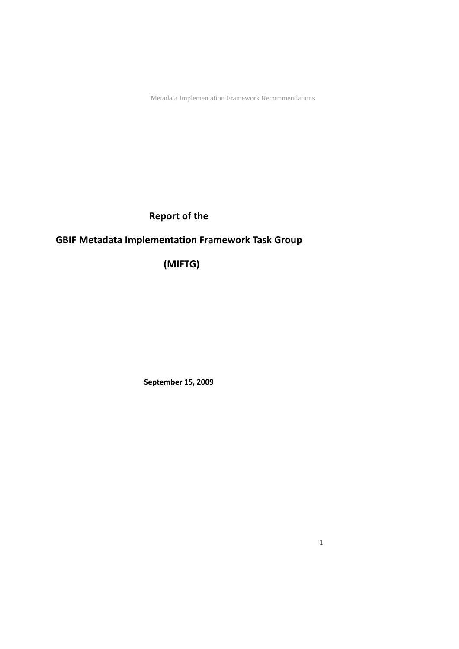## **Report of the**

## **GBIF Metadata Implementation Framework Task Group**

**(MIFTG)**

**September 15, 2009**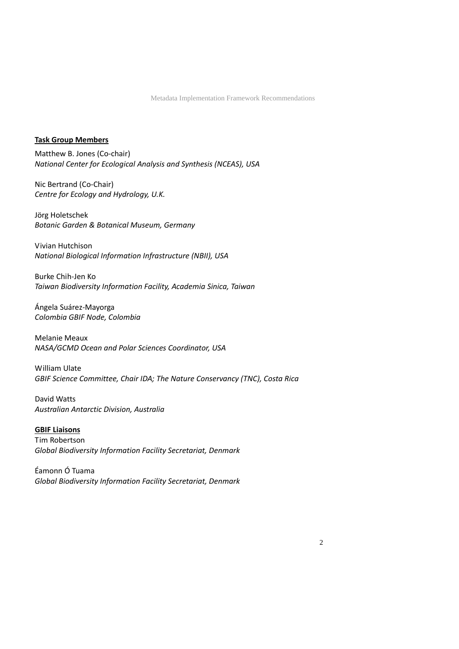### **Task Group Members**

Matthew B. Jones (Co‐chair) *National Center for Ecological Analysis and Synthesis (NCEAS), USA*

Nic Bertrand (Co‐Chair) *Centre for Ecology and Hydrology, U.K.*

Jörg Holetschek *Botanic Garden & Botanical Museum, Germany*

Vivian Hutchison *National Biological Information Infrastructure (NBII), USA*

Burke Chih‐Jen Ko *Taiwan Biodiversity Information Facility, Academia Sinica, Taiwan*

Ángela Suárez‐Mayorga *Colombia GBIF Node, Colombia*

Melanie Meaux *NASA/GCMD Ocean and Polar Sciences Coordinator, USA*

William Ulate *GBIF Science Committee, Chair IDA; The Nature Conservancy (TNC), Costa Rica*

David Watts *Australian Antarctic Division, Australia*

**GBIF Liaisons** Tim Robertson *Global Biodiversity Information Facility Secretariat, Denmark*

Éamonn Ó Tuama *Global Biodiversity Information Facility Secretariat, Denmark*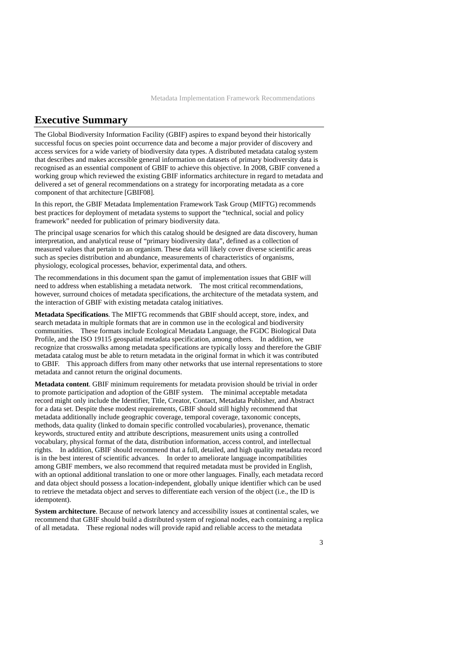## <span id="page-2-0"></span>**Executive Summary**

The Global Biodiversity Information Facility (GBIF) aspires to expand beyond their historically successful focus on species point occurrence data and become a major provider of discovery and access services for a wide variety of biodiversity data types. A distributed metadata catalog system that describes and makes accessible general information on datasets of primary biodiversity data is recognised as an essential component of GBIF to achieve this objective. In 2008, GBIF convened a working group which reviewed the existing GBIF informatics architecture in regard to metadata and delivered a set of general recommendations on a strategy for incorporating metadata as a core component of that architecture [GBIF08].

In this report, the GBIF Metadata Implementation Framework Task Group (MIFTG) recommends best practices for deployment of metadata systems to support the "technical, social and policy framework" needed for publication of primary biodiversity data.

The principal usage scenarios for which this catalog should be designed are data discovery, human interpretation, and analytical reuse of "primary biodiversity data", defined as a collection of measured values that pertain to an organism. These data will likely cover diverse scientific areas such as species distribution and abundance, measurements of characteristics of organisms, physiology, ecological processes, behavior, experimental data, and others.

The recommendations in this document span the gamut of implementation issues that GBIF will need to address when establishing a metadata network. The most critical recommendations, however, surround choices of metadata specifications, the architecture of the metadata system, and the interaction of GBIF with existing metadata catalog initiatives.

**Metadata Specifications**. The MIFTG recommends that GBIF should accept, store, index, and search metadata in multiple formats that are in common use in the ecological and biodiversity communities. These formats include Ecological Metadata Language, the FGDC Biological Data Profile, and the ISO 19115 geospatial metadata specification, among others. In addition, we recognize that crosswalks among metadata specifications are typically lossy and therefore the GBIF metadata catalog must be able to return metadata in the original format in which it was contributed to GBIF. This approach differs from many other networks that use internal representations to store metadata and cannot return the original documents.

**Metadata content**. GBIF minimum requirements for metadata provision should be trivial in order to promote participation and adoption of the GBIF system. The minimal acceptable metadata record might only include the Identifier, Title, Creator, Contact, Metadata Publisher, and Abstract for a data set. Despite these modest requirements, GBIF should still highly recommend that metadata additionally include geographic coverage, temporal coverage, taxonomic concepts, methods, data quality (linked to domain specific controlled vocabularies), provenance, thematic keywords, structured entity and attribute descriptions, measurement units using a controlled vocabulary, physical format of the data, distribution information, access control, and intellectual rights. In addition, GBIF should recommend that a full, detailed, and high quality metadata record is in the best interest of scientific advances. In order to ameliorate language incompatibilities among GBIF members, we also recommend that required metadata must be provided in English, with an optional additional translation to one or more other languages. Finally, each metadata record and data object should possess a location-independent, globally unique identifier which can be used to retrieve the metadata object and serves to differentiate each version of the object (i.e., the ID is idempotent).

**System architecture**. Because of network latency and accessibility issues at continental scales, we recommend that GBIF should build a distributed system of regional nodes, each containing a replica of all metadata. These regional nodes will provide rapid and reliable access to the metadata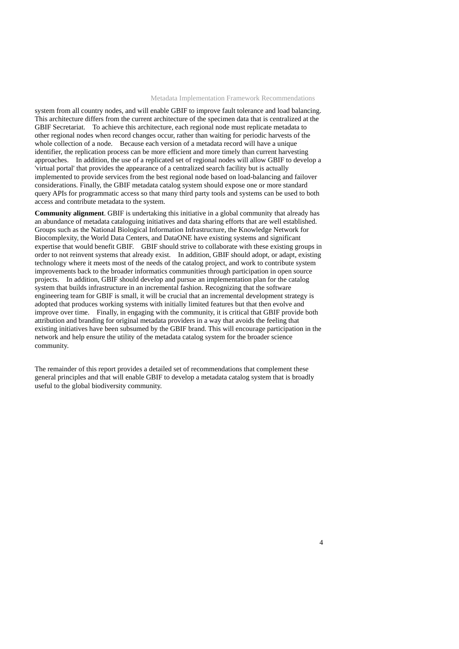system from all country nodes, and will enable GBIF to improve fault tolerance and load balancing. This architecture differs from the current architecture of the specimen data that is centralized at the GBIF Secretariat. To achieve this architecture, each regional node must replicate metadata to other regional nodes when record changes occur, rather than waiting for periodic harvests of the whole collection of a node. Because each version of a metadata record will have a unique identifier, the replication process can be more efficient and more timely than current harvesting approaches. In addition, the use of a replicated set of regional nodes will allow GBIF to develop a 'virtual portal' that provides the appearance of a centralized search facility but is actually implemented to provide services from the best regional node based on load-balancing and failover considerations. Finally, the GBIF metadata catalog system should expose one or more standard query APIs for programmatic access so that many third party tools and systems can be used to both access and contribute metadata to the system.

**Community alignment**. GBIF is undertaking this initiative in a global community that already has an abundance of metadata cataloguing initiatives and data sharing efforts that are well established. Groups such as the National Biological Information Infrastructure, the Knowledge Network for Biocomplexity, the World Data Centers, and DataONE have existing systems and significant expertise that would benefit GBIF. GBIF should strive to collaborate with these existing groups in order to not reinvent systems that already exist. In addition, GBIF should adopt, or adapt, existing technology where it meets most of the needs of the catalog project, and work to contribute system improvements back to the broader informatics communities through participation in open source projects. In addition, GBIF should develop and pursue an implementation plan for the catalog system that builds infrastructure in an incremental fashion. Recognizing that the software engineering team for GBIF is small, it will be crucial that an incremental development strategy is adopted that produces working systems with initially limited features but that then evolve and improve over time. Finally, in engaging with the community, it is critical that GBIF provide both attribution and branding for original metadata providers in a way that avoids the feeling that existing initiatives have been subsumed by the GBIF brand. This will encourage participation in the network and help ensure the utility of the metadata catalog system for the broader science community.

The remainder of this report provides a detailed set of recommendations that complement these general principles and that will enable GBIF to develop a metadata catalog system that is broadly useful to the global biodiversity community.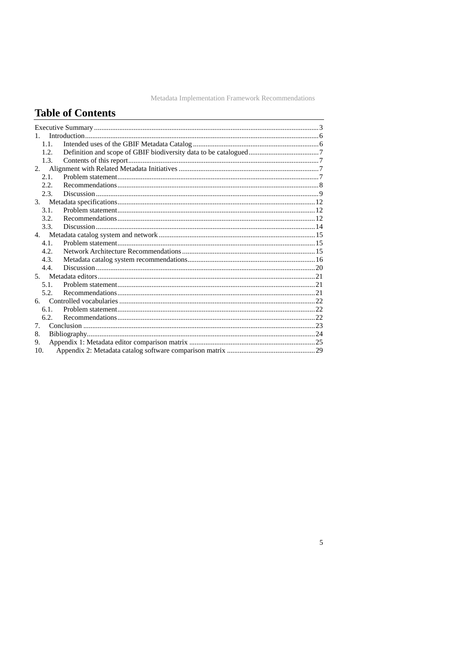# **Table of Contents**

| 1    |  |
|------|--|
| 1.1. |  |
| 1.2. |  |
| 1.3. |  |
| 2.   |  |
| 2.1  |  |
| 2.2. |  |
| 2.3. |  |
|      |  |
| 3.1. |  |
| 3.2. |  |
| 3.3. |  |
|      |  |
| 4.1. |  |
| 4.2. |  |
| 4.3. |  |
| 4.4  |  |
|      |  |
| 5.1. |  |
| 5.2  |  |
| 6.   |  |
| 6.1. |  |
| 6.2. |  |
| 7.   |  |
| 8.   |  |
| 9.   |  |
| 10.  |  |
|      |  |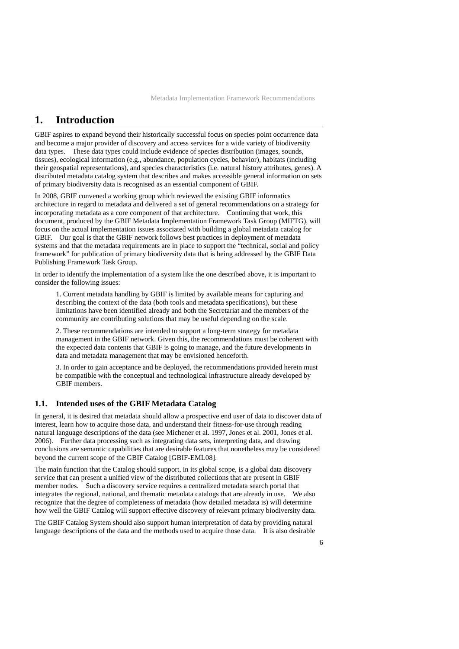### <span id="page-5-0"></span>**1. Introduction**

GBIF aspires to expand beyond their historically successful focus on species point occurrence data and become a major provider of discovery and access services for a wide variety of biodiversity data types. These data types could include evidence of species distribution (images, sounds, tissues), ecological information (e.g., abundance, population cycles, behavior), habitats (including their geospatial representations), and species characteristics (i.e. natural history attributes, genes). A distributed metadata catalog system that describes and makes accessible general information on sets of primary biodiversity data is recognised as an essential component of GBIF.

In 2008, GBIF convened a working group which reviewed the existing GBIF informatics architecture in regard to metadata and delivered a set of general recommendations on a strategy for incorporating metadata as a core component of that architecture. Continuing that work, this document, produced by the GBIF Metadata Implementation Framework Task Group (MIFTG), will focus on the actual implementation issues associated with building a global metadata catalog for GBIF. Our goal is that the GBIF network follows best practices in deployment of metadata systems and that the metadata requirements are in place to support the "technical, social and policy framework" for publication of primary biodiversity data that is being addressed by the GBIF Data Publishing Framework Task Group.

In order to identify the implementation of a system like the one described above, it is important to consider the following issues:

1. Current metadata handling by GBIF is limited by available means for capturing and describing the context of the data (both tools and metadata specifications), but these limitations have been identified already and both the Secretariat and the members of the community are contributing solutions that may be useful depending on the scale.

2. These recommendations are intended to support a long-term strategy for metadata management in the GBIF network. Given this, the recommendations must be coherent with the expected data contents that GBIF is going to manage, and the future developments in data and metadata management that may be envisioned henceforth.

3. In order to gain acceptance and be deployed, the recommendations provided herein must be compatible with the conceptual and technological infrastructure already developed by GBIF members.

### **1.1. Intended uses of the GBIF Metadata Catalog**

In general, it is desired that metadata should allow a prospective end user of data to discover data of interest, learn how to acquire those data, and understand their fitness-for-use through reading natural language descriptions of the data (see Michener et al. 1997, Jones et al. 2001, Jones et al. 2006). Further data processing such as integrating data sets, interpreting data, and drawing conclusions are semantic capabilities that are desirable features that nonetheless may be considered beyond the current scope of the GBIF Catalog [GBIF-EML08].

The main function that the Catalog should support, in its global scope, is a global data discovery service that can present a unified view of the distributed collections that are present in GBIF member nodes. Such a discovery service requires a centralized metadata search portal that integrates the regional, national, and thematic metadata catalogs that are already in use. We also recognize that the degree of completeness of metadata (how detailed metadata is) will determine how well the GBIF Catalog will support effective discovery of relevant primary biodiversity data.

The GBIF Catalog System should also support human interpretation of data by providing natural language descriptions of the data and the methods used to acquire those data. It is also desirable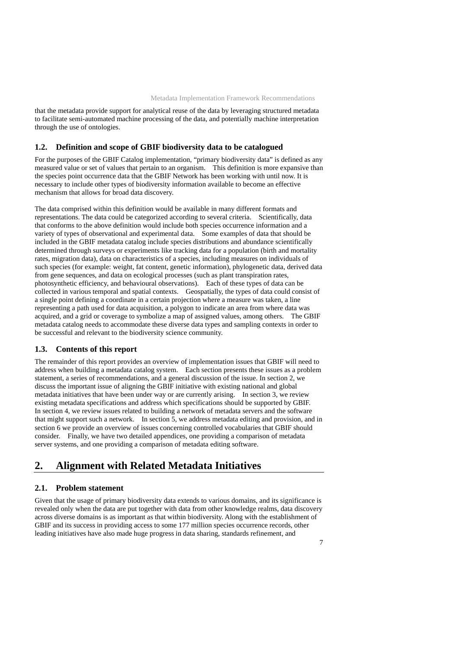<span id="page-6-0"></span>that the metadata provide support for analytical reuse of the data by leveraging structured metadata to facilitate semi-automated machine processing of the data, and potentially machine interpretation through the use of ontologies.

#### **1.2. Definition and scope of GBIF biodiversity data to be catalogued**

For the purposes of the GBIF Catalog implementation, "primary biodiversity data" is defined as any measured value or set of values that pertain to an organism. This definition is more expansive than the species point occurrence data that the GBIF Network has been working with until now. It is necessary to include other types of biodiversity information available to become an effective mechanism that allows for broad data discovery.

The data comprised within this definition would be available in many different formats and representations. The data could be categorized according to several criteria. Scientifically, data that conforms to the above definition would include both species occurrence information and a variety of types of observational and experimental data. Some examples of data that should be included in the GBIF metadata catalog include species distributions and abundance scientifically determined through surveys or experiments like tracking data for a population (birth and mortality rates, migration data), data on characteristics of a species, including measures on individuals of such species (for example: weight, fat content, genetic information), phylogenetic data, derived data from gene sequences, and data on ecological processes (such as plant transpiration rates, photosynthetic efficiency, and behavioural observations). Each of these types of data can be collected in various temporal and spatial contexts. Geospatially, the types of data could consist of a single point defining a coordinate in a certain projection where a measure was taken, a line representing a path used for data acquisition, a polygon to indicate an area from where data was acquired, and a grid or coverage to symbolize a map of assigned values, among others. The GBIF metadata catalog needs to accommodate these diverse data types and sampling contexts in order to be successful and relevant to the biodiversity science community.

### **1.3. Contents of this report**

The remainder of this report provides an overview of implementation issues that GBIF will need to address when building a metadata catalog system. Each section presents these issues as a problem statement, a series of recommendations, and a general discussion of the issue. In section 2, we discuss the important issue of aligning the GBIF initiative with existing national and global metadata initiatives that have been under way or are currently arising. In section 3, we review existing metadata specifications and address which specifications should be supported by GBIF. In section 4, we review issues related to building a network of metadata servers and the software that might support such a network. In section 5, we address metadata editing and provision, and in section 6 we provide an overview of issues concerning controlled vocabularies that GBIF should consider. Finally, we have two detailed appendices, one providing a comparison of metadata server systems, and one providing a comparison of metadata editing software.

## **2. Alignment with Related Metadata Initiatives**

#### **2.1. Problem statement**

Given that the usage of primary biodiversity data extends to various domains, and its significance is revealed only when the data are put together with data from other knowledge realms, data discovery across diverse domains is as important as that within biodiversity. Along with the establishment of GBIF and its success in providing access to some 177 million species occurrence records, other leading initiatives have also made huge progress in data sharing, standards refinement, and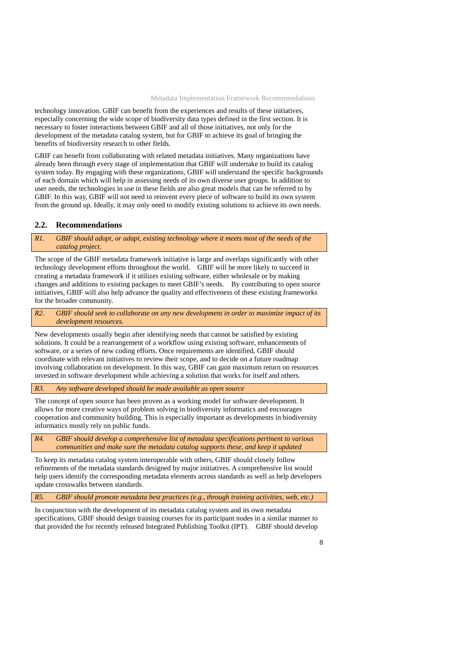<span id="page-7-0"></span>technology innovation. GBIF can benefit from the experiences and results of these initiatives, especially concerning the wide scope of biodiversity data types defined in the first section. It is necessary to foster interactions between GBIF and all of those initiatives, not only for the development of the metadata catalog system, but for GBIF to achieve its goal of bringing the benefits of biodiversity research to other fields.

GBIF can benefit from collaborating with related metadata initiatives. Many organizations have already been through every stage of implementation that GBIF will undertake to build its catalog system today. By engaging with these organizations, GBIF will understand the specific backgrounds of each domain which will help in assessing needs of its own diverse user groups. In addition to user needs, the technologies in use in these fields are also great models that can be referred to by GBIF. In this way, GBIF will not need to reinvent every piece of software to build its own system from the ground up. Ideally, it may only need to modify existing solutions to achieve its own needs.

#### **2.2. Recommendations**

*R1. GBIF should adopt, or adapt, existing technology where it meets most of the needs of the catalog project.* 

The scope of the GBIF metadata framework initiative is large and overlaps significantly with other technology development efforts throughout the world. GBIF will be more likely to succeed in creating a metadata framework if it utilizes existing software, either wholesale or by making changes and additions to existing packages to meet GBIF's needs. By contributing to open source initiatives, GBIF will also help advance the quality and effectiveness of these existing frameworks for the broader community.

*R2. GBIF should seek to collaborate on any new development in order to maximize impact of its development resources.* 

New developments usually begin after identifying needs that cannot be satisfied by existing solutions. It could be a rearrangement of a workflow using existing software, enhancements of software, or a series of new coding efforts. Once requirements are identified, GBIF should coordinate with relevant initiatives to review their scope, and to decide on a future roadmap involving collaboration on development. In this way, GBIF can gain maximum return on resources invested in software development while achieving a solution that works for itself and others.

*R3. Any software developed should be made available as open source* 

The concept of open source has been proven as a working model for software development. It allows for more creative ways of problem solving in biodiversity informatics and encourages cooperation and community building. This is especially important as developments in biodiversity informatics mostly rely on public funds.

*R4. GBIF should develop a comprehensive list of metadata specifications pertinent to various communities and make sure the metadata catalog supports these, and keep it updated* 

To keep its metadata catalog system interoperable with others, GBIF should closely follow refinements of the metadata standards designed by major initiatives. A comprehensive list would help users identify the corresponding metadata elements across standards as well as help developers update crosswalks between standards.

*R5. GBIF should promote metadata best practices (e.g., through training activities, web, etc.)* 

In conjunction with the development of its metadata catalog system and its own metadata specifications, GBIF should design training courses for its participant nodes in a similar manner to that provided the for recently released Integrated Publishing Toolkit (IPT). GBIF should develop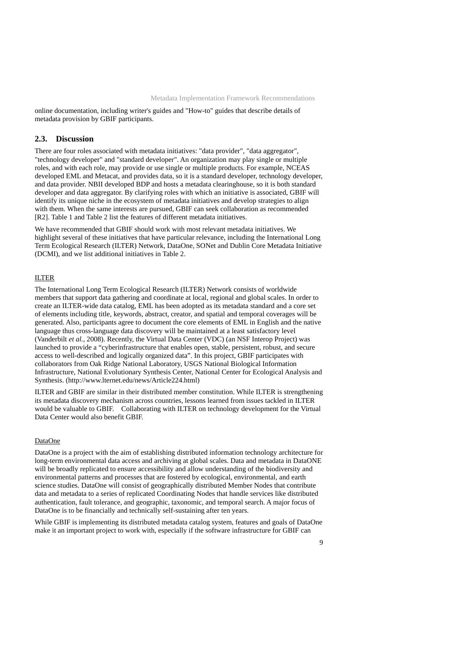<span id="page-8-0"></span>online documentation, including writer's guides and "How-to" guides that describe details of metadata provision by GBIF participants.

#### **2.3. Discussion**

There are four roles associated with metadata initiatives: "data provider", "data aggregator", "technology developer" and "standard developer". An organization may play single or multiple roles, and with each role, may provide or use single or multiple products. For example, NCEAS developed EML and Metacat, and provides data, so it is a standard developer, technology developer, and data provider. NBII developed BDP and hosts a metadata clearinghouse, so it is both standard developer and data aggregator. By clarifying roles with which an initiative is associated, GBIF will identify its unique niche in the ecosystem of metadata initiatives and develop strategies to align with them. When the same interests are pursued, GBIF can seek collaboration as recommended [R2]. Table 1 and Table 2 list the features of different metadata initiatives.

We have recommended that GBIF should work with most relevant metadata initiatives. We highlight several of these initiatives that have particular relevance, including the International Long Term Ecological Research (ILTER) Network, DataOne, SONet and Dublin Core Metadata Initiative (DCMI), and we list additional initiatives in Table 2.

#### ILTER

The International Long Term Ecological Research (ILTER) Network consists of worldwide members that support data gathering and coordinate at local, regional and global scales. In order to create an ILTER-wide data catalog, EML has been adopted as its metadata standard and a core set of elements including title, keywords, abstract, creator, and spatial and temporal coverages will be generated. Also, participants agree to document the core elements of EML in English and the native language thus cross-language data discovery will be maintained at a least satisfactory level (Vanderbilt *et al.*, 2008). Recently, the Virtual Data Center (VDC) (an NSF Interop Project) was launched to provide a "cyberinfrastructure that enables open, stable, persistent, robust, and secure access to well-described and logically organized data". In this project, GBIF participates with collaborators from Oak Ridge National Laboratory, USGS National Biological Information Infrastructure, National Evolutionary Synthesis Center, National Center for Ecological Analysis and Synthesis. (http://www.lternet.edu/news/Article224.html)

ILTER and GBIF are similar in their distributed member constitution. While ILTER is strengthening its metadata discovery mechanism across countries, lessons learned from issues tackled in ILTER would be valuable to GBIF. Collaborating with ILTER on technology development for the Virtual Data Center would also benefit GBIF.

#### DataOne

DataOne is a project with the aim of establishing distributed information technology architecture for long-term environmental data access and archiving at global scales. Data and metadata in DataONE will be broadly replicated to ensure accessibility and allow understanding of the biodiversity and environmental patterns and processes that are fostered by ecological, environmental, and earth science studies. DataOne will consist of geographically distributed Member Nodes that contribute data and metadata to a series of replicated Coordinating Nodes that handle services like distributed authentication, fault tolerance, and geographic, taxonomic, and temporal search. A major focus of DataOne is to be financially and technically self-sustaining after ten years.

While GBIF is implementing its distributed metadata catalog system, features and goals of DataOne make it an important project to work with, especially if the software infrastructure for GBIF can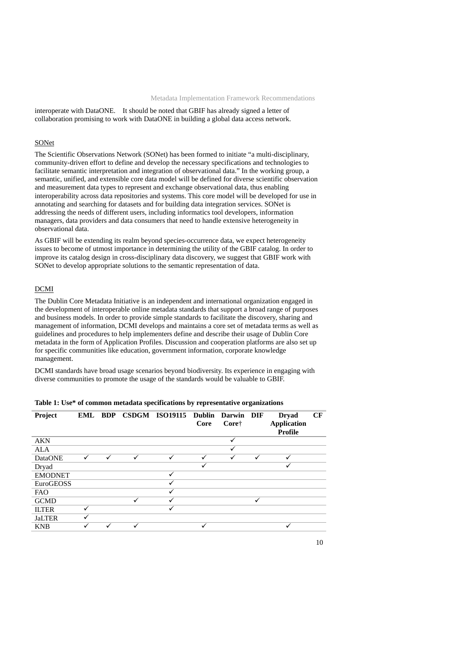interoperate with DataONE. It should be noted that GBIF has already signed a letter of collaboration promising to work with DataONE in building a global data access network.

#### SONet

The Scientific Observations Network (SONet) has been formed to initiate "a multi-disciplinary, community-driven effort to define and develop the necessary specifications and technologies to facilitate semantic interpretation and integration of observational data." In the working group, a semantic, unified, and extensible core data model will be defined for diverse scientific observation and measurement data types to represent and exchange observational data, thus enabling interoperability across data repositories and systems. This core model will be developed for use in annotating and searching for datasets and for building data integration services. SONet is addressing the needs of different users, including informatics tool developers, information managers, data providers and data consumers that need to handle extensive heterogeneity in observational data.

As GBIF will be extending its realm beyond species-occurrence data, we expect heterogeneity issues to become of utmost importance in determining the utility of the GBIF catalog. In order to improve its catalog design in cross-disciplinary data discovery, we suggest that GBIF work with SONet to develop appropriate solutions to the semantic representation of data.

#### DCMI

The Dublin Core Metadata Initiative is an independent and international organization engaged in the development of interoperable online metadata standards that support a broad range of purposes and business models. In order to provide simple standards to facilitate the discovery, sharing and management of information, DCMI develops and maintains a core set of metadata terms as well as guidelines and procedures to help implementers define and describe their usage of Dublin Core metadata in the form of Application Profiles. Discussion and cooperation platforms are also set up for specific communities like education, government information, corporate knowledge management.

DCMI standards have broad usage scenarios beyond biodiversity. Its experience in engaging with diverse communities to promote the usage of the standards would be valuable to GBIF.

| Project        | EML BDP      |              |              | CSDGM ISO19115 Dublin | Core | Darwin DIF<br>Core† |              | <b>Dryad</b><br><b>Application</b><br>Profile | CF |
|----------------|--------------|--------------|--------------|-----------------------|------|---------------------|--------------|-----------------------------------------------|----|
| <b>AKN</b>     |              |              |              |                       |      | √                   |              |                                               |    |
| ALA            |              |              |              |                       |      |                     |              |                                               |    |
| <b>DataONE</b> | $\checkmark$ | $\checkmark$ | $\checkmark$ | $\checkmark$          | ✓    | $\checkmark$        | $\checkmark$ | ✓                                             |    |
| Dryad          |              |              |              |                       | ✓    |                     |              |                                               |    |
| <b>EMODNET</b> |              |              |              |                       |      |                     |              |                                               |    |
| EuroGEOSS      |              |              |              |                       |      |                     |              |                                               |    |
| <b>FAO</b>     |              |              |              |                       |      |                     |              |                                               |    |
| <b>GCMD</b>    |              |              | ✓            | $\checkmark$          |      |                     | ✓            |                                               |    |
| <b>ILTER</b>   | ✓            |              |              |                       |      |                     |              |                                               |    |
| <b>JaLTER</b>  |              |              |              |                       |      |                     |              |                                               |    |
| <b>KNB</b>     | ✓            | ✓            |              |                       | ✓    |                     |              | ✓                                             |    |

**Table 1: Use\* of common metadata specifications by representative organizations**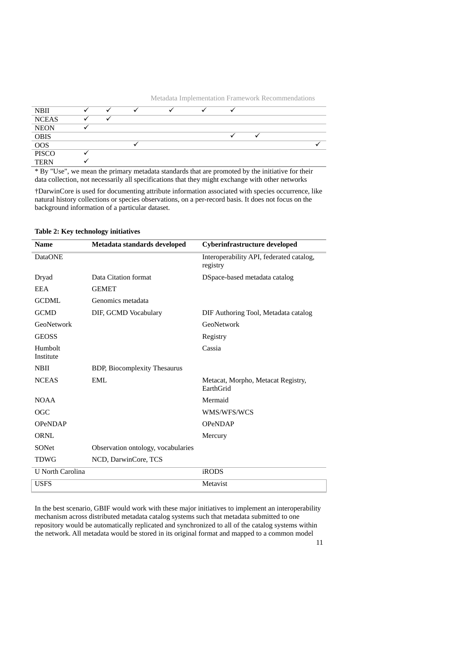

\* By "Use", we mean the primary metadata standards that are promoted by the initiative for their data collection, not necessarily all specifications that they might exchange with other networks

†DarwinCore is used for documenting attribute information associated with species occurrence, like natural history collections or species observations, on a per-record basis. It does not focus on the background information of a particular dataset.

| <b>Name</b>             | Metadata standards developed        | Cyberinfrastructure developed                        |
|-------------------------|-------------------------------------|------------------------------------------------------|
| <b>DataONE</b>          |                                     | Interoperability API, federated catalog,<br>registry |
| Dryad                   | Data Citation format                | DSpace-based metadata catalog                        |
| <b>EEA</b>              | <b>GEMET</b>                        |                                                      |
| <b>GCDML</b>            | Genomics metadata                   |                                                      |
| <b>GCMD</b>             | DIF, GCMD Vocabulary                | DIF Authoring Tool, Metadata catalog                 |
| GeoNetwork              |                                     | GeoNetwork                                           |
| <b>GEOSS</b>            |                                     | Registry                                             |
| Humbolt<br>Institute    |                                     | Cassia                                               |
| <b>NBII</b>             | <b>BDP, Biocomplexity Thesaurus</b> |                                                      |
| <b>NCEAS</b>            | EML                                 | Metacat, Morpho, Metacat Registry,<br>EarthGrid      |
| <b>NOAA</b>             |                                     | Mermaid                                              |
| <b>OGC</b>              |                                     | WMS/WFS/WCS                                          |
| <b>OPeNDAP</b>          |                                     | <b>OPeNDAP</b>                                       |
| <b>ORNL</b>             |                                     | Mercury                                              |
| SONet                   | Observation ontology, vocabularies  |                                                      |
| <b>TDWG</b>             | NCD, DarwinCore, TCS                |                                                      |
| <b>U</b> North Carolina |                                     | <b>iRODS</b>                                         |
| <b>USFS</b>             |                                     | Metavist                                             |

#### **Table 2: Key technology initiatives**

In the best scenario, GBIF would work with these major initiatives to implement an interoperability mechanism across distributed metadata catalog systems such that metadata submitted to one repository would be automatically replicated and synchronized to all of the catalog systems within the network. All metadata would be stored in its original format and mapped to a common model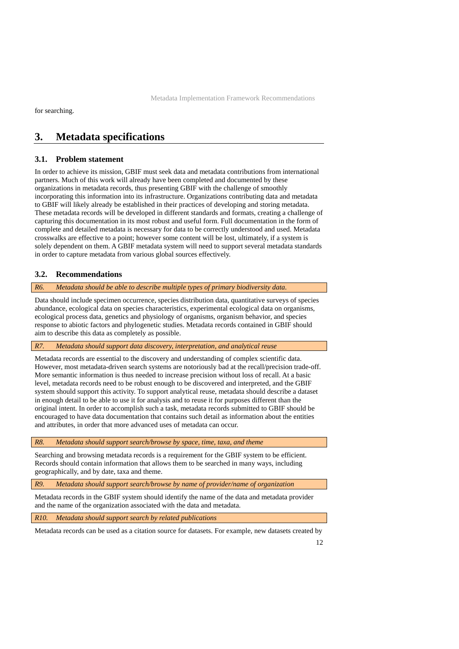<span id="page-11-0"></span>for searching.

## **3. Metadata specifications**

### **3.1. Problem statement**

In order to achieve its mission, GBIF must seek data and metadata contributions from international partners. Much of this work will already have been completed and documented by these organizations in metadata records, thus presenting GBIF with the challenge of smoothly incorporating this information into its infrastructure. Organizations contributing data and metadata to GBIF will likely already be established in their practices of developing and storing metadata. These metadata records will be developed in different standards and formats, creating a challenge of capturing this documentation in its most robust and useful form. Full documentation in the form of complete and detailed metadata is necessary for data to be correctly understood and used. Metadata crosswalks are effective to a point; however some content will be lost, ultimately, if a system is solely dependent on them. A GBIF metadata system will need to support several metadata standards in order to capture metadata from various global sources effectively.

### **3.2. Recommendations**

#### *R6. Metadata should be able to describe multiple types of primary biodiversity data.*

Data should include specimen occurrence, species distribution data, quantitative surveys of species abundance, ecological data on species characteristics, experimental ecological data on organisms, ecological process data, genetics and physiology of organisms, organism behavior, and species response to abiotic factors and phylogenetic studies. Metadata records contained in GBIF should aim to describe this data as completely as possible.

#### *R7. Metadata should support data discovery, interpretation, and analytical reuse*

Metadata records are essential to the discovery and understanding of complex scientific data. However, most metadata-driven search systems are notoriously bad at the recall/precision trade-off. More semantic information is thus needed to increase precision without loss of recall. At a basic level, metadata records need to be robust enough to be discovered and interpreted, and the GBIF system should support this activity. To support analytical reuse, metadata should describe a dataset in enough detail to be able to use it for analysis and to reuse it for purposes different than the original intent. In order to accomplish such a task, metadata records submitted to GBIF should be encouraged to have data documentation that contains such detail as information about the entities and attributes, in order that more advanced uses of metadata can occur.

*R8. Metadata should support search/browse by space, time, taxa, and theme* 

Searching and browsing metadata records is a requirement for the GBIF system to be efficient. Records should contain information that allows them to be searched in many ways, including geographically, and by date, taxa and theme.

*R9. Metadata should support search/browse by name of provider/name of organization* 

Metadata records in the GBIF system should identify the name of the data and metadata provider and the name of the organization associated with the data and metadata.

*R10. Metadata should support search by related publications* 

Metadata records can be used as a citation source for datasets. For example, new datasets created by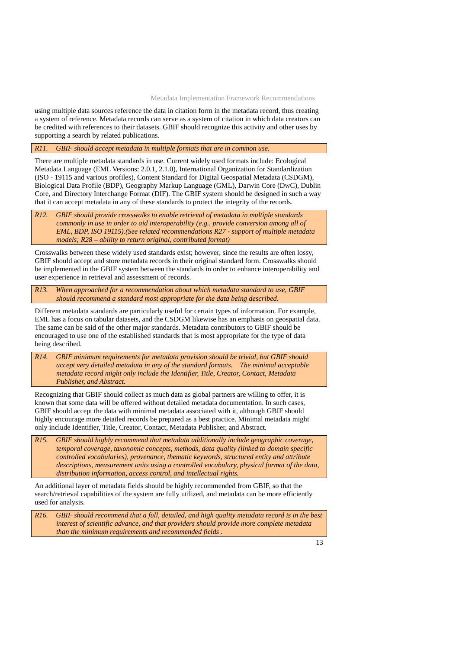using multiple data sources reference the data in citation form in the metadata record, thus creating a system of reference. Metadata records can serve as a system of citation in which data creators can be credited with references to their datasets. GBIF should recognize this activity and other uses by supporting a search by related publications.

#### *R11. GBIF should accept metadata in multiple formats that are in common use.*

There are multiple metadata standards in use. Current widely used formats include: Ecological Metadata Language (EML Versions: 2.0.1, 2.1.0), International Organization for Standardization (ISO - 19115 and various profiles), Content Standard for Digital Geospatial Metadata (CSDGM), Biological Data Profile (BDP), Geography Markup Language (GML), Darwin Core (DwC), Dublin Core, and Directory Interchange Format (DIF). The GBIF system should be designed in such a way that it can accept metadata in any of these standards to protect the integrity of the records.

*R12. GBIF should provide crosswalks to enable retrieval of metadata in multiple standards commonly in use in order to aid interoperability (e.g., provide conversion among all of EML, BDP, ISO 19115).(See related recommendations R27 - support of multiple metadata models; R28 – ability to return original, contributed format)* 

Crosswalks between these widely used standards exist; however, since the results are often lossy, GBIF should accept and store metadata records in their original standard form. Crosswalks should be implemented in the GBIF system between the standards in order to enhance interoperability and user experience in retrieval and assessment of records.

*R13. When approached for a recommendation about which metadata standard to use, GBIF should recommend a standard most appropriate for the data being described.* 

Different metadata standards are particularly useful for certain types of information. For example, EML has a focus on tabular datasets, and the CSDGM likewise has an emphasis on geospatial data. The same can be said of the other major standards. Metadata contributors to GBIF should be encouraged to use one of the established standards that is most appropriate for the type of data being described.

*R14. GBIF minimum requirements for metadata provision should be trivial, but GBIF should accept very detailed metadata in any of the standard formats. The minimal acceptable metadata record might only include the Identifier, Title, Creator, Contact, Metadata Publisher, and Abstract.* 

Recognizing that GBIF should collect as much data as global partners are willing to offer, it is known that some data will be offered without detailed metadata documentation. In such cases, GBIF should accept the data with minimal metadata associated with it, although GBIF should highly encourage more detailed records be prepared as a best practice. Minimal metadata might only include Identifier, Title, Creator, Contact, Metadata Publisher, and Abstract.

*R15. GBIF should highly recommend that metadata additionally include geographic coverage, temporal coverage, taxonomic concepts, methods, data quality (linked to domain specific controlled vocabularies), provenance, thematic keywords, structured entity and attribute descriptions, measurement units using a controlled vocabulary, physical format of the data, distribution information, access control, and intellectual rights.* 

An additional layer of metadata fields should be highly recommended from GBIF, so that the search/retrieval capabilities of the system are fully utilized, and metadata can be more efficiently used for analysis.

*R16. GBIF should recommend that a full, detailed, and high quality metadata record is in the best interest of scientific advance, and that providers should provide more complete metadata than the minimum requirements and recommended fields .*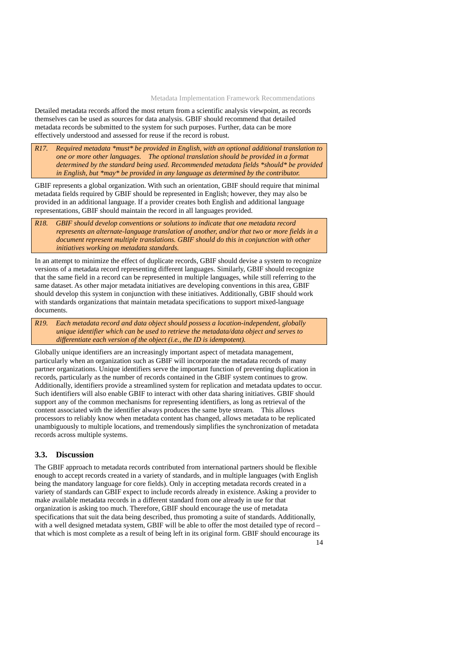<span id="page-13-0"></span>Detailed metadata records afford the most return from a scientific analysis viewpoint, as records themselves can be used as sources for data analysis. GBIF should recommend that detailed metadata records be submitted to the system for such purposes. Further, data can be more effectively understood and assessed for reuse if the record is robust.

*R17. Required metadata \*must\* be provided in English, with an optional additional translation to one or more other languages. The optional translation should be provided in a format determined by the standard being used. Recommended metadata fields \*should\* be provided in English, but \*may\* be provided in any language as determined by the contributor.* 

GBIF represents a global organization. With such an orientation, GBIF should require that minimal metadata fields required by GBIF should be represented in English; however, they may also be provided in an additional language. If a provider creates both English and additional language representations, GBIF should maintain the record in all languages provided.

*R18. GBIF should develop conventions or solutions to indicate that one metadata record represents an alternate-language translation of another, and/or that two or more fields in a document represent multiple translations. GBIF should do this in conjunction with other initiatives working on metadata standards.* 

In an attempt to minimize the effect of duplicate records, GBIF should devise a system to recognize versions of a metadata record representing different languages. Similarly, GBIF should recognize that the same field in a record can be represented in multiple languages, while still referring to the same dataset. As other major metadata initiatives are developing conventions in this area, GBIF should develop this system in conjunction with these initiatives. Additionally, GBIF should work with standards organizations that maintain metadata specifications to support mixed-language documents.

*R19. Each metadata record and data object should possess a location-independent, globally unique identifier which can be used to retrieve the metadata/data object and serves to differentiate each version of the object (i.e., the ID is idempotent).* 

Globally unique identifiers are an increasingly important aspect of metadata management, particularly when an organization such as GBIF will incorporate the metadata records of many partner organizations. Unique identifiers serve the important function of preventing duplication in records, particularly as the number of records contained in the GBIF system continues to grow. Additionally, identifiers provide a streamlined system for replication and metadata updates to occur. Such identifiers will also enable GBIF to interact with other data sharing initiatives. GBIF should support any of the common mechanisms for representing identifiers, as long as retrieval of the content associated with the identifier always produces the same byte stream. This allows processors to reliably know when metadata content has changed, allows metadata to be replicated unambiguously to multiple locations, and tremendously simplifies the synchronization of metadata records across multiple systems.

### **3.3. Discussion**

The GBIF approach to metadata records contributed from international partners should be flexible enough to accept records created in a variety of standards, and in multiple languages (with English being the mandatory language for core fields). Only in accepting metadata records created in a variety of standards can GBIF expect to include records already in existence. Asking a provider to make available metadata records in a different standard from one already in use for that organization is asking too much. Therefore, GBIF should encourage the use of metadata specifications that suit the data being described, thus promoting a suite of standards. Additionally, with a well designed metadata system, GBIF will be able to offer the most detailed type of record – that which is most complete as a result of being left in its original form. GBIF should encourage its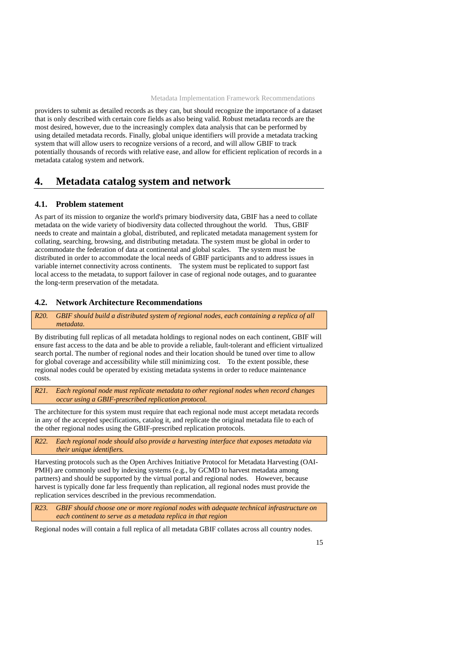<span id="page-14-0"></span>providers to submit as detailed records as they can, but should recognize the importance of a dataset that is only described with certain core fields as also being valid. Robust metadata records are the most desired, however, due to the increasingly complex data analysis that can be performed by using detailed metadata records. Finally, global unique identifiers will provide a metadata tracking system that will allow users to recognize versions of a record, and will allow GBIF to track potentially thousands of records with relative ease, and allow for efficient replication of records in a metadata catalog system and network.

## **4. Metadata catalog system and network**

### **4.1. Problem statement**

As part of its mission to organize the world's primary biodiversity data, GBIF has a need to collate metadata on the wide variety of biodiversity data collected throughout the world. Thus, GBIF needs to create and maintain a global, distributed, and replicated metadata management system for collating, searching, browsing, and distributing metadata. The system must be global in order to accommodate the federation of data at continental and global scales. The system must be distributed in order to accommodate the local needs of GBIF participants and to address issues in variable internet connectivity across continents. The system must be replicated to support fast local access to the metadata, to support failover in case of regional node outages, and to guarantee the long-term preservation of the metadata.

#### **4.2. Network Architecture Recommendations**

*R20. GBIF should build a distributed system of regional nodes, each containing a replica of all metadata.* 

By distributing full replicas of all metadata holdings to regional nodes on each continent, GBIF will ensure fast access to the data and be able to provide a reliable, fault-tolerant and efficient virtualized search portal. The number of regional nodes and their location should be tuned over time to allow for global coverage and accessibility while still minimizing cost. To the extent possible, these regional nodes could be operated by existing metadata systems in order to reduce maintenance costs.

*R21. Each regional node must replicate metadata to other regional nodes when record changes occur using a GBIF-prescribed replication protocol.* 

The architecture for this system must require that each regional node must accept metadata records in any of the accepted specifications, catalog it, and replicate the original metadata file to each of the other regional nodes using the GBIF-prescribed replication protocols.

*R22. Each regional node should also provide a harvesting interface that exposes metadata via their unique identifiers.* 

Harvesting protocols such as the Open Archives Initiative Protocol for Metadata Harvesting (OAI-PMH) are commonly used by indexing systems (e.g., by GCMD to harvest metadata among partners) and should be supported by the virtual portal and regional nodes. However, because harvest is typically done far less frequently than replication, all regional nodes must provide the replication services described in the previous recommendation.

*R23. GBIF should choose one or more regional nodes with adequate technical infrastructure on each continent to serve as a metadata replica in that region* 

Regional nodes will contain a full replica of all metadata GBIF collates across all country nodes.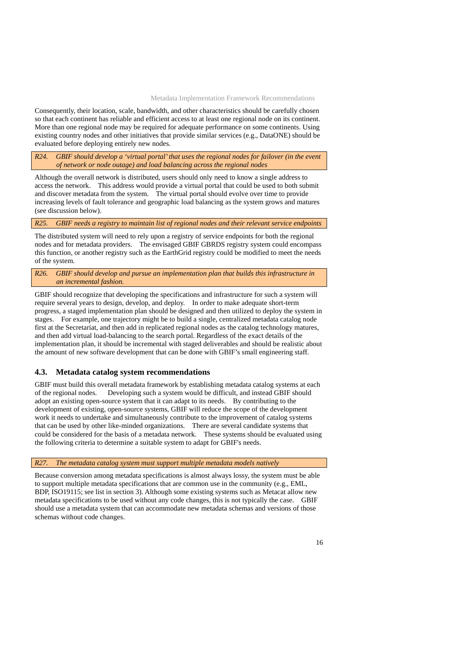<span id="page-15-0"></span>Consequently, their location, scale, bandwidth, and other characteristics should be carefully chosen so that each continent has reliable and efficient access to at least one regional node on its continent. More than one regional node may be required for adequate performance on some continents. Using existing country nodes and other initiatives that provide similar services (e.g., DataONE) should be evaluated before deploying entirely new nodes.

*R24. GBIF should develop a 'virtual portal' that uses the regional nodes for failover (in the event of network or node outage) and load balancing across the regional nodes* 

Although the overall network is distributed, users should only need to know a single address to access the network. This address would provide a virtual portal that could be used to both submit and discover metadata from the system. The virtual portal should evolve over time to provide increasing levels of fault tolerance and geographic load balancing as the system grows and matures (see discussion below).

### *R25. GBIF needs a registry to maintain list of regional nodes and their relevant service endpoints*

The distributed system will need to rely upon a registry of service endpoints for both the regional nodes and for metadata providers. The envisaged GBIF GBRDS registry system could encompass this function, or another registry such as the EarthGrid registry could be modified to meet the needs of the system.

*R26. GBIF should develop and pursue an implementation plan that builds this infrastructure in an incremental fashion.* 

GBIF should recognize that developing the specifications and infrastructure for such a system will require several years to design, develop, and deploy. In order to make adequate short-term progress, a staged implementation plan should be designed and then utilized to deploy the system in stages. For example, one trajectory might be to build a single, centralized metadata catalog node first at the Secretariat, and then add in replicated regional nodes as the catalog technology matures, and then add virtual load-balancing to the search portal. Regardless of the exact details of the implementation plan, it should be incremental with staged deliverables and should be realistic about the amount of new software development that can be done with GBIF's small engineering staff.

### **4.3. Metadata catalog system recommendations**

GBIF must build this overall metadata framework by establishing metadata catalog systems at each of the regional nodes. Developing such a system would be difficult, and instead GBIF should adopt an existing open-source system that it can adapt to its needs. By contributing to the development of existing, open-source systems, GBIF will reduce the scope of the development work it needs to undertake and simultaneously contribute to the improvement of catalog systems that can be used by other like-minded organizations. There are several candidate systems that could be considered for the basis of a metadata network. These systems should be evaluated using the following criteria to determine a suitable system to adapt for GBIF's needs.

### *R27. The metadata catalog system must support multiple metadata models natively*

Because conversion among metadata specifications is almost always lossy, the system must be able to support multiple metadata specifications that are common use in the community (e.g., EML, BDP, ISO19115; see list in section 3). Although some existing systems such as Metacat allow new metadata specifications to be used without any code changes, this is not typically the case. GBIF should use a metadata system that can accommodate new metadata schemas and versions of those schemas without code changes.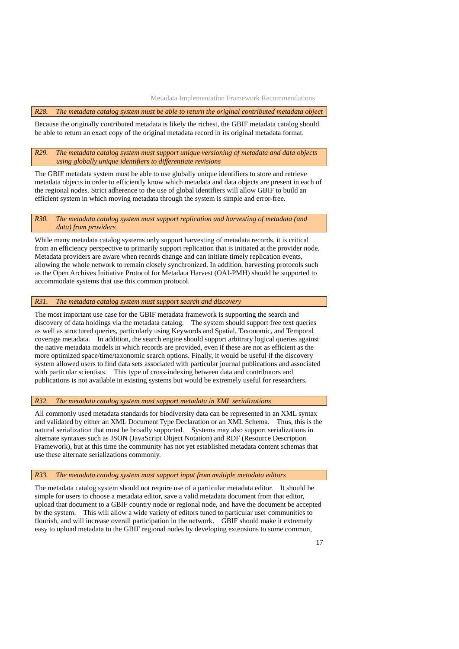#### *R28. The metadata catalog system must be able to return the original contributed metadata object*

Because the originally contributed metadata is likely the richest, the GBIF metadata catalog should be able to return an exact copy of the original metadata record in its original metadata format.

#### *R29. The metadata catalog system must support unique versioning of metadata and data objects using globally unique identifiers to differentiate revisions*

The GBIF metadata system must be able to use globally unique identifiers to store and retrieve metadata objects in order to efficiently know which metadata and data objects are present in each of the regional nodes. Strict adherence to the use of global identifiers will allow GBIF to build an efficient system in which moving metadata through the system is simple and error-free.

#### *R30. The metadata catalog system must support replication and harvesting of metadata (and data) from providers*

While many metadata catalog systems only support harvesting of metadata records, it is critical from an efficiency perspective to primarily support replication that is initiated at the provider node. Metadata providers are aware when records change and can initiate timely replication events, allowing the whole network to remain closely synchronized. In addition, harvesting protocols such as the Open Archives Initiative Protocol for Metadata Harvest (OAI-PMH) should be supported to accommodate systems that use this common protocol.

#### *R31. The metadata catalog system must support search and discovery*

The most important use case for the GBIF metadata framework is supporting the search and discovery of data holdings via the metadata catalog. The system should support free text queries as well as structured queries, particularly using Keywords and Spatial, Taxonomic, and Temporal coverage metadata. In addition, the search engine should support arbitrary logical queries against the native metadata models in which records are provided, even if these are not as efficient as the more optimized space/time/taxonomic search options. Finally, it would be useful if the discovery system allowed users to find data sets associated with particular journal publications and associated with particular scientists. This type of cross-indexing between data and contributors and publications is not available in existing systems but would be extremely useful for researchers.

### *R32. The metadata catalog system must support metadata in XML serializations*

All commonly used metadata standards for biodiversity data can be represented in an XML syntax and validated by either an XML Document Type Declaration or an XML Schema. Thus, this is the natural serialization that must be broadly supported. Systems may also support serializations in alternate syntaxes such as JSON (JavaScript Object Notation) and RDF (Resource Description Framework), but at this time the community has not yet established metadata content schemas that use these alternate serializations commonly.

#### *R33. The metadata catalog system must support input from multiple metadata editors*

The metadata catalog system should not require use of a particular metadata editor. It should be simple for users to choose a metadata editor, save a valid metadata document from that editor, upload that document to a GBIF country node or regional node, and have the document be accepted by the system. This will allow a wide variety of editors tuned to particular user communities to flourish, and will increase overall participation in the network. GBIF should make it extremely easy to upload metadata to the GBIF regional nodes by developing extensions to some common,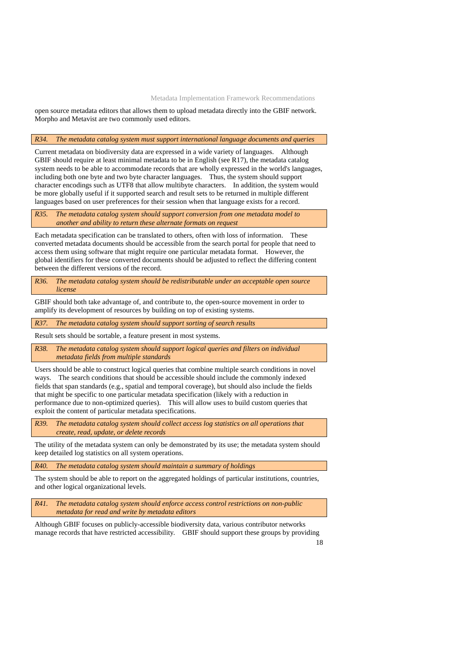open source metadata editors that allows them to upload metadata directly into the GBIF network. Morpho and Metavist are two commonly used editors.

#### *R34. The metadata catalog system must support international language documents and queries*

Current metadata on biodiversity data are expressed in a wide variety of languages. Although GBIF should require at least minimal metadata to be in English (see R17), the metadata catalog system needs to be able to accommodate records that are wholly expressed in the world's languages, including both one byte and two byte character languages. Thus, the system should support character encodings such as UTF8 that allow multibyte characters. In addition, the system would be more globally useful if it supported search and result sets to be returned in multiple different languages based on user preferences for their session when that language exists for a record.

*R35. The metadata catalog system should support conversion from one metadata model to another and ability to return these alternate formats on request* 

Each metadata specification can be translated to others, often with loss of information. These converted metadata documents should be accessible from the search portal for people that need to access them using software that might require one particular metadata format. However, the global identifiers for these converted documents should be adjusted to reflect the differing content between the different versions of the record.

*R36. The metadata catalog system should be redistributable under an acceptable open source license* 

GBIF should both take advantage of, and contribute to, the open-source movement in order to amplify its development of resources by building on top of existing systems.

*R37. The metadata catalog system should support sorting of search results* 

Result sets should be sortable, a feature present in most systems.

*R38. The metadata catalog system should support logical queries and filters on individual metadata fields from multiple standards* 

Users should be able to construct logical queries that combine multiple search conditions in novel ways. The search conditions that should be accessible should include the commonly indexed fields that span standards (e.g., spatial and temporal coverage), but should also include the fields that might be specific to one particular metadata specification (likely with a reduction in performance due to non-optimized queries). This will allow uses to build custom queries that exploit the content of particular metadata specifications.

*R39. The metadata catalog system should collect access log statistics on all operations that create, read, update, or delete records* 

The utility of the metadata system can only be demonstrated by its use; the metadata system should keep detailed log statistics on all system operations.

*R40. The metadata catalog system should maintain a summary of holdings* 

The system should be able to report on the aggregated holdings of particular institutions, countries, and other logical organizational levels.

*R41. The metadata catalog system should enforce access control restrictions on non-public metadata for read and write by metadata editors* 

Although GBIF focuses on publicly-accessible biodiversity data, various contributor networks manage records that have restricted accessibility. GBIF should support these groups by providing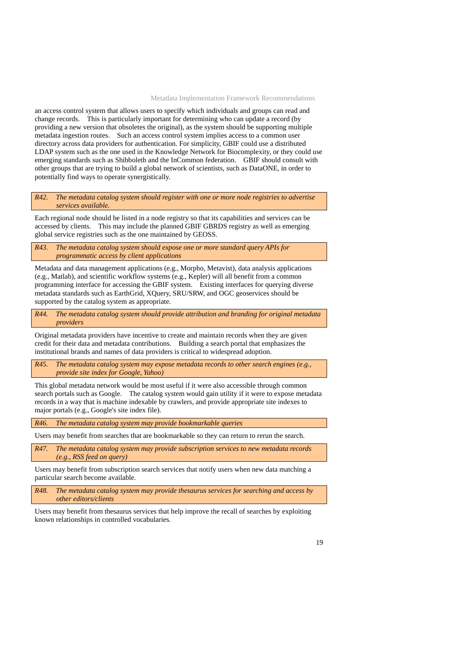an access control system that allows users to specify which individuals and groups can read and change records. This is particularly important for determining who can update a record (by providing a new version that obsoletes the original), as the system should be supporting multiple metadata ingestion routes. Such an access control system implies access to a common user directory across data providers for authentication. For simplicity, GBIF could use a distributed LDAP system such as the one used in the Knowledge Network for Biocomplexity, or they could use emerging standards such as Shibboleth and the InCommon federation. GBIF should consult with other groups that are trying to build a global network of scientists, such as DataONE, in order to potentially find ways to operate synergistically.

*R42. The metadata catalog system should register with one or more node registries to advertise services available.* 

Each regional node should be listed in a node registry so that its capabilities and services can be accessed by clients. This may include the planned GBIF GBRDS registry as well as emerging global service registries such as the one maintained by GEOSS.

*R43. The metadata catalog system should expose one or more standard query APIs for programmatic access by client applications* 

Metadata and data management applications (e.g., Morpho, Metavist), data analysis applications (e.g., Matlab), and scientific workflow systems (e.g., Kepler) will all benefit from a common programming interface for accessing the GBIF system. Existing interfaces for querying diverse metadata standards such as EarthGrid, XQuery, SRU/SRW, and OGC geoservices should be supported by the catalog system as appropriate.

*R44. The metadata catalog system should provide attribution and branding for original metadata providers* 

Original metadata providers have incentive to create and maintain records when they are given credit for their data and metadata contributions. Building a search portal that emphasizes the institutional brands and names of data providers is critical to widespread adoption.

*R45. The metadata catalog system may expose metadata records to other search engines (e.g., provide site index for Google, Yahoo)* 

This global metadata network would be most useful if it were also accessible through common search portals such as Google. The catalog system would gain utility if it were to expose metadata records in a way that is machine indexable by crawlers, and provide appropriate site indexes to major portals (e.g., Google's site index file).

*R46. The metadata catalog system may provide bookmarkable queries* 

Users may benefit from searches that are bookmarkable so they can return to rerun the search.

*R47. The metadata catalog system may provide subscription services to new metadata records (e.g., RSS feed on query)* 

Users may benefit from subscription search services that notify users when new data matching a particular search become available.

*R48. The metadata catalog system may provide thesaurus services for searching and access by other editors/clients* 

Users may benefit from thesaurus services that help improve the recall of searches by exploiting known relationships in controlled vocabularies.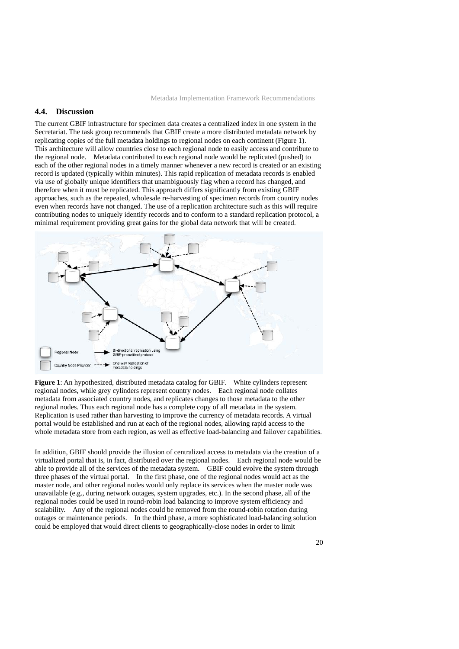### <span id="page-19-0"></span>**4.4. Discussion**

The current GBIF infrastructure for specimen data creates a centralized index in one system in the Secretariat. The task group recommends that GBIF create a more distributed metadata network by replicating copies of the full metadata holdings to regional nodes on each continent (Figure 1). This architecture will allow countries close to each regional node to easily access and contribute to the regional node. Metadata contributed to each regional node would be replicated (pushed) to each of the other regional nodes in a timely manner whenever a new record is created or an existing record is updated (typically within minutes). This rapid replication of metadata records is enabled via use of globally unique identifiers that unambiguously flag when a record has changed, and therefore when it must be replicated. This approach differs significantly from existing GBIF approaches, such as the repeated, wholesale re-harvesting of specimen records from country nodes even when records have not changed. The use of a replication architecture such as this will require contributing nodes to uniquely identify records and to conform to a standard replication protocol, a minimal requirement providing great gains for the global data network that will be created.



**Figure 1**: An hypothesized, distributed metadata catalog for GBIF. White cylinders represent regional nodes, while grey cylinders represent country nodes. Each regional node collates metadata from associated country nodes, and replicates changes to those metadata to the other regional nodes. Thus each regional node has a complete copy of all metadata in the system. Replication is used rather than harvesting to improve the currency of metadata records. A virtual portal would be established and run at each of the regional nodes, allowing rapid access to the whole metadata store from each region, as well as effective load-balancing and failover capabilities.

In addition, GBIF should provide the illusion of centralized access to metadata via the creation of a virtualized portal that is, in fact, distributed over the regional nodes. Each regional node would be able to provide all of the services of the metadata system. GBIF could evolve the system through three phases of the virtual portal. In the first phase, one of the regional nodes would act as the master node, and other regional nodes would only replace its services when the master node was unavailable (e.g., during network outages, system upgrades, etc.). In the second phase, all of the regional nodes could be used in round-robin load balancing to improve system efficiency and scalability. Any of the regional nodes could be removed from the round-robin rotation during outages or maintenance periods. In the third phase, a more sophisticated load-balancing solution could be employed that would direct clients to geographically-close nodes in order to limit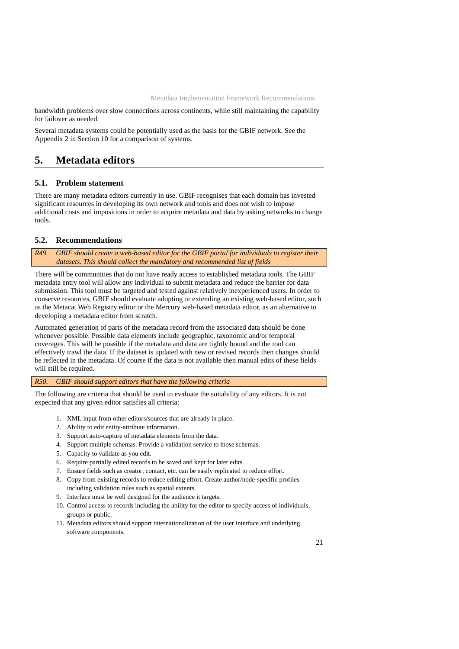<span id="page-20-0"></span>bandwidth problems over slow connections across continents, while still maintaining the capability for failover as needed.

Several metadata systems could be potentially used as the basis for the GBIF network. See the Appendix 2 in Section 10 for a comparison of systems.

## **5. Metadata editors**

### **5.1. Problem statement**

There are many metadata editors currently in use. GBIF recognises that each domain has invested significant resources in developing its own network and tools and does not wish to impose additional costs and impositions in order to acquire metadata and data by asking networks to change tools.

### **5.2. Recommendations**

*R49. GBIF should create a web-based editor for the GBIF portal for individuals to register their datasets. This should collect the mandatory and recommended list of fields* 

There will be communities that do not have ready access to established metadata tools. The GBIF metadata entry tool will allow any individual to submit metadata and reduce the barrier for data submission. This tool must be targeted and tested against relatively inexperienced users. In order to conserve resources, GBIF should evaluate adopting or extending an existing web-based editor, such as the Metacat Web Registry editor or the Mercury web-based metadata editor, as an alternative to developing a metadata editor from scratch.

Automated generation of parts of the metadata record from the associated data should be done whenever possible. Possible data elements include geographic, taxonomic and/or temporal coverages. This will be possible if the metadata and data are tightly bound and the tool can effectively trawl the data. If the dataset is updated with new or revised records then changes should be reflected in the metadata. Of course if the data is not available then manual edits of these fields will still be required.

#### *R50. GBIF should support editors that have the following criteria*

The following are criteria that should be used to evaluate the suitability of any editors. It is not expected that any given editor satisfies all criteria:

- 1. XML input from other editors/sources that are already in place.
- 2. Ability to edit entity-attribute information.
- 3. Support auto-capture of metadata elements from the data.
- 4. Support multiple schemas. Provide a validation service to those schemas.
- 5. Capacity to validate as you edit.
- 6. Require partially edited records to be saved and kept for later edits.
- 7. Ensure fields such as creator, contact, etc. can be easily replicated to reduce effort.
- 8. Copy from existing records to reduce editing effort. Create author/node-specific profiles including validation rules such as spatial extents.
- 9. Interface must be well designed for the audience it targets.
- 10. Control access to records including the ability for the editor to specify access of individuals, groups or public.
- 11. Metadata editors should support internationalization of the user interface and underlying software components.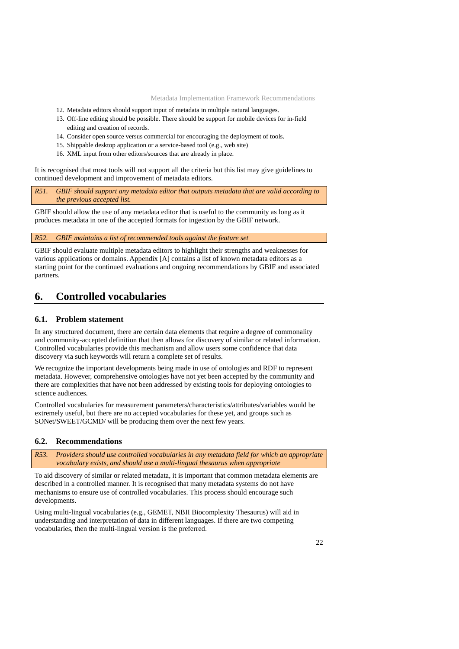- <span id="page-21-0"></span>12. Metadata editors should support input of metadata in multiple natural languages.
- 13. Off-line editing should be possible. There should be support for mobile devices for in-field editing and creation of records.
- 14. Consider open source versus commercial for encouraging the deployment of tools.
- 15. Shippable desktop application or a service-based tool (e.g., web site)
- 16. XML input from other editors/sources that are already in place.

It is recognised that most tools will not support all the criteria but this list may give guidelines to continued development and improvement of metadata editors.

*R51. GBIF should support any metadata editor that outputs metadata that are valid according to the previous accepted list.* 

GBIF should allow the use of any metadata editor that is useful to the community as long as it produces metadata in one of the accepted formats for ingestion by the GBIF network.

*R52. GBIF maintains a list of recommended tools against the feature set* 

GBIF should evaluate multiple metadata editors to highlight their strengths and weaknesses for various applications or domains. Appendix [A] contains a list of known metadata editors as a starting point for the continued evaluations and ongoing recommendations by GBIF and associated partners.

## **6. Controlled vocabularies**

### **6.1. Problem statement**

In any structured document, there are certain data elements that require a degree of commonality and community-accepted definition that then allows for discovery of similar or related information. Controlled vocabularies provide this mechanism and allow users some confidence that data discovery via such keywords will return a complete set of results.

We recognize the important developments being made in use of ontologies and RDF to represent metadata. However, comprehensive ontologies have not yet been accepted by the community and there are complexities that have not been addressed by existing tools for deploying ontologies to science audiences.

Controlled vocabularies for measurement parameters/characteristics/attributes/variables would be extremely useful, but there are no accepted vocabularies for these yet, and groups such as SONet/SWEET/GCMD/ will be producing them over the next few years.

#### **6.2. Recommendations**

*R53. Providers should use controlled vocabularies in any metadata field for which an appropriate vocabulary exists, and should use a multi-lingual thesaurus when appropriate* 

To aid discovery of similar or related metadata, it is important that common metadata elements are described in a controlled manner. It is recognised that many metadata systems do not have mechanisms to ensure use of controlled vocabularies. This process should encourage such developments.

Using multi-lingual vocabularies (e.g., GEMET, NBII Biocomplexity Thesaurus) will aid in understanding and interpretation of data in different languages. If there are two competing vocabularies, then the multi-lingual version is the preferred.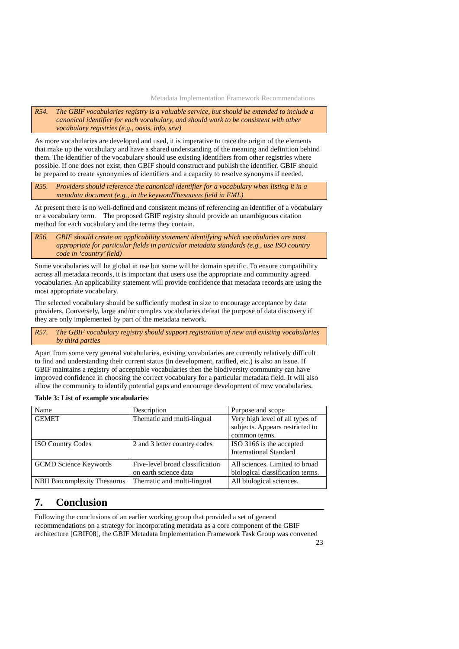<span id="page-22-0"></span>*R54. The GBIF vocabularies registry is a valuable service, but should be extended to include a canonical identifier for each vocabulary, and should work to be consistent with other vocabulary registries (e.g., oasis, info, srw)* 

As more vocabularies are developed and used, it is imperative to trace the origin of the elements that make up the vocabulary and have a shared understanding of the meaning and definition behind them. The identifier of the vocabulary should use existing identifiers from other registries where possible. If one does not exist, then GBIF should construct and publish the identifier. GBIF should be prepared to create synonymies of identifiers and a capacity to resolve synonyms if needed.

*R55. Providers should reference the canonical identifier for a vocabulary when listing it in a metadata document (e.g., in the keywordThesausus field in EML)* 

At present there is no well-defined and consistent means of referencing an identifier of a vocabulary or a vocabulary term. The proposed GBIF registry should provide an unambiguous citation method for each vocabulary and the terms they contain.

*R56. GBIF should create an applicability statement identifying which vocabularies are most appropriate for particular fields in particular metadata standards (e.g., use ISO country code in 'country' field)* 

Some vocabularies will be global in use but some will be domain specific. To ensure compatibility across all metadata records, it is important that users use the appropriate and community agreed vocabularies. An applicability statement will provide confidence that metadata records are using the most appropriate vocabulary.

The selected vocabulary should be sufficiently modest in size to encourage acceptance by data providers. Conversely, large and/or complex vocabularies defeat the purpose of data discovery if they are only implemented by part of the metadata network.

*R57. The GBIF vocabulary registry should support registration of new and existing vocabularies by third parties* 

Apart from some very general vocabularies, existing vocabularies are currently relatively difficult to find and understanding their current status (in development, ratified, etc.) is also an issue. If GBIF maintains a registry of acceptable vocabularies then the biodiversity community can have improved confidence in choosing the correct vocabulary for a particular metadata field. It will also allow the community to identify potential gaps and encourage development of new vocabularies.

| Table 3: List of example vocabularies |  |  |
|---------------------------------------|--|--|
|---------------------------------------|--|--|

| Name                                | Description                     | Purpose and scope                |
|-------------------------------------|---------------------------------|----------------------------------|
| <b>GEMET</b>                        | Thematic and multi-lingual      | Very high level of all types of  |
|                                     |                                 | subjects. Appears restricted to  |
|                                     |                                 | common terms.                    |
| <b>ISO Country Codes</b>            | 2 and 3 letter country codes    | ISO 3166 is the accepted         |
|                                     |                                 | <b>International Standard</b>    |
| <b>GCMD</b> Science Keywords        | Five-level broad classification | All sciences. Limited to broad   |
|                                     | on earth science data           | biological classification terms. |
| <b>NBII Biocomplexity Thesaurus</b> | Thematic and multi-lingual      | All biological sciences.         |

## **7. Conclusion**

Following the conclusions of an earlier working group that provided a set of general recommendations on a strategy for incorporating metadata as a core component of the GBIF architecture [GBIF08], the GBIF Metadata Implementation Framework Task Group was convened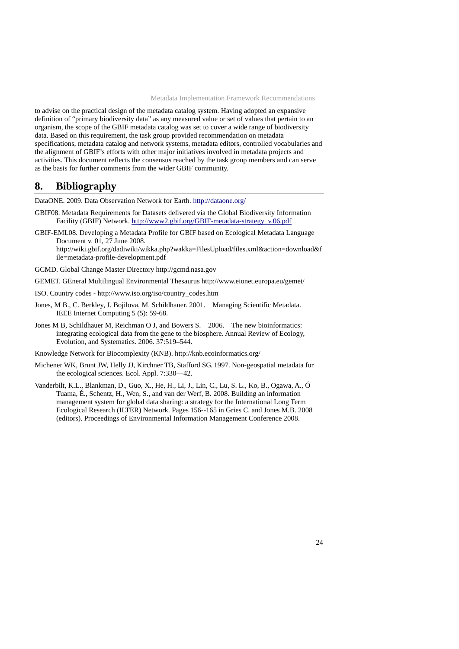<span id="page-23-0"></span>to advise on the practical design of the metadata catalog system. Having adopted an expansive definition of "primary biodiversity data" as any measured value or set of values that pertain to an organism, the scope of the GBIF metadata catalog was set to cover a wide range of biodiversity data. Based on this requirement, the task group provided recommendation on metadata specifications, metadata catalog and network systems, metadata editors, controlled vocabularies and the alignment of GBIF's efforts with other major initiatives involved in metadata projects and activities. This document reflects the consensus reached by the task group members and can serve as the basis for further comments from the wider GBIF community.

## **8. Bibliography**

DataONE. 2009. Data Observation Network for Earth. <http://dataone.org/>

- GBIF08. Metadata Requirements for Datasets delivered via the Global Biodiversity Infor[m](http://www2.gbif.org/GBIF-metadata-strategy_v.06.pdf)ation Facility (GBIF) Network. [http://www2.gbif.org/GBIF-metadata-strategy\\_v.06.pdf](http://www2.gbif.org/GBIF-metadata-strategy_v.06.pdf)
- GBIF-EML08. Developing a Metadata Profile for GBIF based on Ecological Metadata Language Document v. 01, 27 June 2008.

http://wiki.gbif.org/dadiwiki/wikka.php?wakka=FilesUpload/files.xml&action=download&f ile=metadata-profile-development.pdf

- GCMD. Global Change Master Directory [http://gcmd.nasa.gov](http://gcmd.nasa.gov/)
- GEMET. GEneral Multilingual Environmental Thesaurus <http://www.eionet.europa.eu/gemet/>
- ISO. Country codes http://www.iso.org/iso/country\_codes.htm
- Jones, M B., C. Berkley, J. Bojilova, M. Schildhauer. 2001. Managing Scientific Metadata. IEEE Internet Computing 5 (5): 59-68.
- Jones M B, Schildhauer M, Reichman O J, and Bowers S. 2006. The new bioinformatics: integrating ecological data from the gene to the biosphere. Annual Review of Ecology, Evolution, and Systematics. 2006. 37:519–544.

Knowledge Network for Biocomplexity (KNB). http://knb.ecoinformatics.org/

- Michener WK, Brunt JW, Helly JJ, Kirchner TB, Stafford SG. 1997. Non-geospatial metadata for the ecological sciences. Ecol. Appl. 7:330—42.
- Vanderbilt, K.L., Blankman, D., Guo, X., He, H., Li, J., Lin, C., Lu, S. L., Ko, B., Ogawa, A., Ó Tuama, É., Schentz, H., Wen, S., and van der Werf, B. 2008. Building an information management system for global data sharing: a strategy for the International Long Term Ecological Research (ILTER) Network. Pages 156--165 in Gries C. and Jones M.B. 2008 (editors). Proceedings of Environmental Information Management Conference 2008.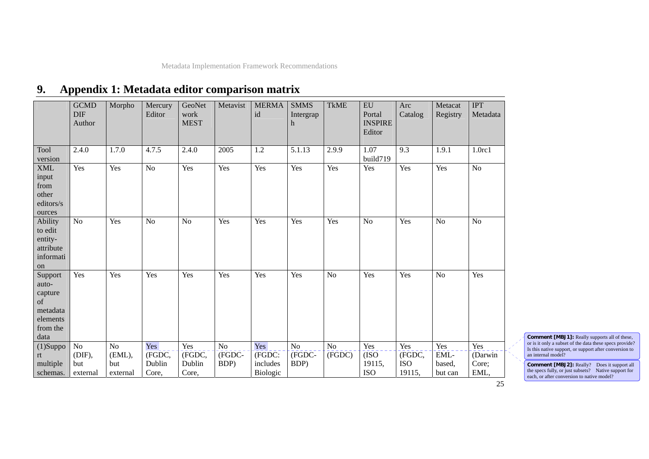#### <span id="page-24-0"></span>**GCMD** DIF Author Morpho | Mercury Editor GeoNetwork MEST Metavist MERMA id SMMS Intergrap h TkME EU Portal INSPIRE Editor Arc Catalog Metacat Registry IPT Metadata Tool version 2.4.0 1.7.0 4.7.5 2.4.0 2005 1.2 5.1.13 2.9.9 1.07 build719 9.3 1.9.1 1.0rc1 XML input from other editors/s ources Yes Yes No Yes Yes Yes Yes Yes Yes Yes Yes No Ability to edit entityattribute information No Yes No No Yes Yes Yes Yes No Yes No No  $\overline{No}$ Support autocapture of metadata elements from the data Yes Yes Yes Yes Yes Yes Yes No Yes Yes No Yes (1)Suppo rt multiple schemas. No (DIF), but external No (EML), but external Yes (FGDC, Dublin Core, Yes (FGDC, Dublin Core, No (FGDC-BDP) Yes (FGDC: includes Biologic No (FGDC-BDP) No (FGDC) Yes (ISO 19115, ISO Yes (FGDC, ISO 19115, Yes EMLbased, but can Yes (Darwin Core; **EML**

#### **9.Appendix 1: Metadata editor comparison matrix**

**Comment [MBJ1]:** Really supports all of these, or is it only a subset of the data these specs provide? Is this native support, or support after conversion to an internal model?

**Comment [MBJ2]:** Really? Does it support all the specs fully, or just subsets? Native support for each, or after conversion to native model?

25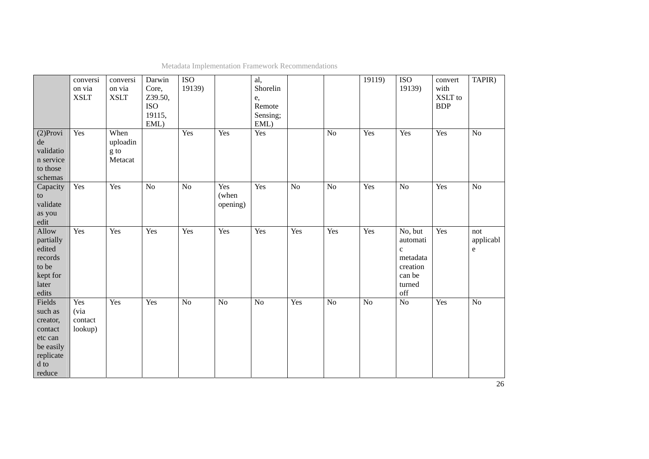|                                                                                                 | conversi<br>on via<br><b>XSLT</b> | conversi<br>on via<br><b>XSLT</b>   | Darwin<br>Core,<br>Z39.50,<br>ISO<br>19115,<br>EML) | <b>ISO</b><br>19139) |                          | al,<br>Shorelin<br>e,<br>Remote<br>Sensing;<br>EML) |                 |                | 19119)         | <b>ISO</b><br>19139)                                                                                | convert<br>with<br>XSLT to<br><b>BDP</b> | TAPIR)                        |
|-------------------------------------------------------------------------------------------------|-----------------------------------|-------------------------------------|-----------------------------------------------------|----------------------|--------------------------|-----------------------------------------------------|-----------------|----------------|----------------|-----------------------------------------------------------------------------------------------------|------------------------------------------|-------------------------------|
| $(2)$ Provi<br>de<br>validatio<br>n service<br>to those<br>schemas                              | Yes                               | When<br>uploadin<br>g to<br>Metacat |                                                     | Yes                  | Yes                      | Yes                                                 |                 | No             | Yes            | Yes                                                                                                 | Yes                                      | N <sub>o</sub>                |
| Capacity<br>to<br>validate<br>as you<br>edit                                                    | Yes                               | Yes                                 | N <sub>o</sub>                                      | No                   | Yes<br>(when<br>opening) | Yes                                                 | $\overline{No}$ | N <sub>o</sub> | Yes            | $\overline{No}$                                                                                     | Yes                                      | N <sub>o</sub>                |
| Allow<br>partially<br>edited<br>records<br>to be<br>kept for<br>later<br>edits                  | Yes                               | Yes                                 | Yes                                                 | Yes                  | Yes                      | Yes                                                 | Yes             | Yes            | Yes            | No, but<br>automati<br>$\mathbf c$<br>metadata<br>creation<br>can be<br>turned<br>$_{\mathrm{off}}$ | Yes                                      | not<br>applicabl<br>${\bf e}$ |
| Fields<br>such as<br>creator,<br>contact<br>etc can<br>be easily<br>replicate<br>d to<br>reduce | Yes<br>(via<br>contact<br>lookup) | Yes                                 | Yes                                                 | No                   | N <sub>o</sub>           | $\overline{No}$                                     | Yes             | N <sub>o</sub> | N <sub>o</sub> | $\overline{No}$                                                                                     | Yes                                      | $\overline{No}$               |

Metadata Implementation Framework Recommendations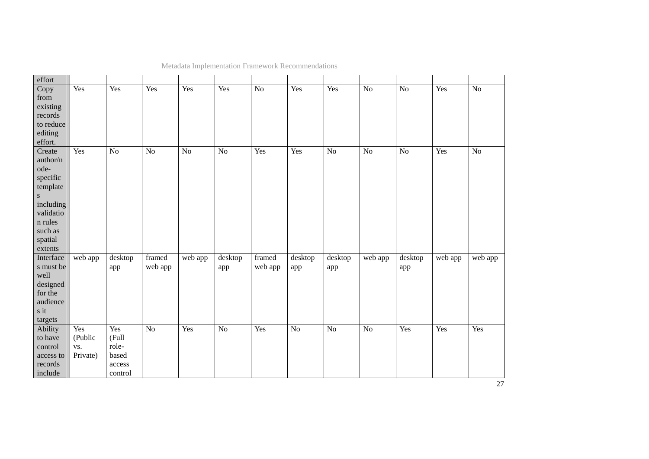| effort               |                 |                   |                |         |                |                         |         |                |                 |                |         |                |
|----------------------|-----------------|-------------------|----------------|---------|----------------|-------------------------|---------|----------------|-----------------|----------------|---------|----------------|
| Copy<br>from         | Yes             | Yes               | Yes            | Yes     | Yes            | $\overline{No}$         | Yes     | Yes            | $\overline{No}$ | N <sub>o</sub> | Yes     | N <sub>o</sub> |
| existing             |                 |                   |                |         |                |                         |         |                |                 |                |         |                |
| records              |                 |                   |                |         |                |                         |         |                |                 |                |         |                |
| to reduce            |                 |                   |                |         |                |                         |         |                |                 |                |         |                |
| editing              |                 |                   |                |         |                |                         |         |                |                 |                |         |                |
| effort.              |                 |                   |                |         |                |                         |         |                |                 |                |         |                |
| Create               | Yes             | $\overline{No}$   | N <sub>o</sub> | No      | N <sub>o</sub> | Yes                     | Yes     | No             | $\overline{No}$ | N <sub>o</sub> | Yes     | N <sub>o</sub> |
| author/n             |                 |                   |                |         |                |                         |         |                |                 |                |         |                |
| ode-                 |                 |                   |                |         |                |                         |         |                |                 |                |         |                |
| specific             |                 |                   |                |         |                |                         |         |                |                 |                |         |                |
| template             |                 |                   |                |         |                |                         |         |                |                 |                |         |                |
| ${\bf S}$            |                 |                   |                |         |                |                         |         |                |                 |                |         |                |
| including            |                 |                   |                |         |                |                         |         |                |                 |                |         |                |
| validatio            |                 |                   |                |         |                |                         |         |                |                 |                |         |                |
| n rules              |                 |                   |                |         |                |                         |         |                |                 |                |         |                |
| such as              |                 |                   |                |         |                |                         |         |                |                 |                |         |                |
| spatial              |                 |                   |                |         |                |                         |         |                |                 |                |         |                |
| extents              |                 |                   |                |         |                |                         |         |                |                 |                |         |                |
| Interface            | web app         | desktop           | framed         | web app | desktop        | $\operatorname{framed}$ | desktop | desktop        | web app         | desktop        | web app | web app        |
| s must be            |                 | app               | web app        |         | app            | web app                 | app     | app            |                 | app            |         |                |
| well                 |                 |                   |                |         |                |                         |         |                |                 |                |         |                |
| designed             |                 |                   |                |         |                |                         |         |                |                 |                |         |                |
| for the              |                 |                   |                |         |                |                         |         |                |                 |                |         |                |
| audience             |                 |                   |                |         |                |                         |         |                |                 |                |         |                |
| s it                 |                 |                   |                |         |                |                         |         |                |                 |                |         |                |
| targets              |                 |                   |                |         |                |                         |         |                |                 |                |         |                |
| Ability              | Yes             | Yes               | No             | Yes     | $\rm No$       | Yes                     | No      | N <sub>o</sub> | No              | Yes            | Yes     | Yes            |
| to have              | (Public         | (Full             |                |         |                |                         |         |                |                 |                |         |                |
| control              | VS.<br>Private) | role-<br>based    |                |         |                |                         |         |                |                 |                |         |                |
| access to<br>records |                 |                   |                |         |                |                         |         |                |                 |                |         |                |
| include              |                 | access<br>control |                |         |                |                         |         |                |                 |                |         |                |
|                      |                 |                   |                |         |                |                         |         |                |                 |                |         |                |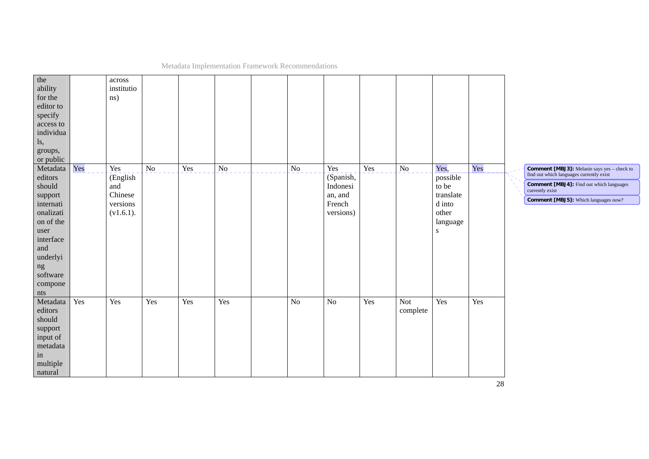| the<br>ability<br>for the<br>editor to<br>specify<br>access to<br>individua<br>ls,<br>groups,<br>or public                                                        |     | $\,a\mathrm{cross}$<br>institutio<br>ns)                      |                 |     |                 |                 |                                                                |     |                        |                                                                                    |     |                                                                                                                                                                                                              |
|-------------------------------------------------------------------------------------------------------------------------------------------------------------------|-----|---------------------------------------------------------------|-----------------|-----|-----------------|-----------------|----------------------------------------------------------------|-----|------------------------|------------------------------------------------------------------------------------|-----|--------------------------------------------------------------------------------------------------------------------------------------------------------------------------------------------------------------|
| Metadata<br>editors<br>should<br>support<br>internati<br>onalizati<br>on of the<br>user<br>interface<br>and<br>underlyi<br>$\rm ng$<br>software<br>compone<br>nts | Yes | Yes<br>(English<br>and<br>Chinese<br>versions<br>$(v1.6.1)$ . | $\overline{No}$ | Yes | $\overline{No}$ | $\overline{No}$ | Yes<br>(Spanish,<br>Indonesi<br>an, and<br>French<br>versions) | Yes | $\overline{No}$        | Yes,<br>possible<br>to be<br>translate<br>d into<br>other<br>language<br>${\bf S}$ | Yes | <b>Comment [MBJ3]:</b> Melanie says yes - check to<br>find out which languages currently exist<br>Comment [MBJ4]: Find out which languages<br>currently exist<br><b>Comment [MBJ5]:</b> Which languages now? |
| Metadata<br>editors<br>should<br>support<br>input of<br>metadata<br>in<br>multiple<br>natural                                                                     | Yes | Yes                                                           | Yes             | Yes | Yes             | $\rm No$        | $\rm No$                                                       | Yes | <b>Not</b><br>complete | Yes                                                                                | Yes |                                                                                                                                                                                                              |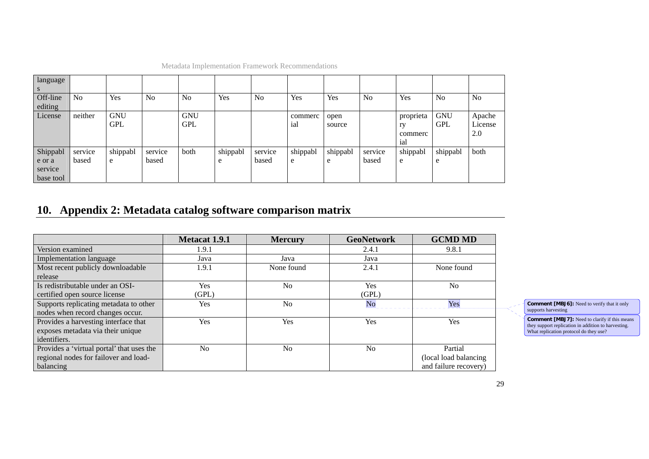| language<br>$\mathbf{s}$ |                |            |                |                |          |                |          |          |                |           |                |                |
|--------------------------|----------------|------------|----------------|----------------|----------|----------------|----------|----------|----------------|-----------|----------------|----------------|
| Off-line                 | N <sub>0</sub> | Yes        | N <sub>0</sub> | N <sub>0</sub> | Yes      | N <sub>o</sub> | Yes      | Yes      | N <sub>o</sub> | Yes       | N <sub>o</sub> | N <sub>o</sub> |
| editing                  |                |            |                |                |          |                |          |          |                |           |                |                |
| License                  | neither        | <b>GNU</b> |                | <b>GNU</b>     |          |                | commerc  | open     |                | proprieta | <b>GNU</b>     | Apache         |
|                          |                | <b>GPL</b> |                | <b>GPL</b>     |          |                | ial      | source   |                | ry        | <b>GPL</b>     | License        |
|                          |                |            |                |                |          |                |          |          |                | commerc   |                | 2.0            |
|                          |                |            |                |                |          |                |          |          |                | ial       |                |                |
| Shippabl                 | service        | shippabl   | service        | both           | shippabl | service        | shippabl | shippabl | service        | shippabl  | shippabl       | both           |
| e or a                   | based          | e          | based          |                | e        | based          | e        | e        | based          | e         | e              |                |
| service                  |                |            |                |                |          |                |          |          |                |           |                |                |
| base tool                |                |            |                |                |          |                |          |          |                |           |                |                |

## **10. Appendix 2: Metadata catalog software comparison matrix**

<span id="page-28-0"></span>

|                                           | <b>Metacat 1.9.1</b> | <b>Mercury</b> | <b>GeoNetwork</b>      | <b>GCMD MD</b>         |
|-------------------------------------------|----------------------|----------------|------------------------|------------------------|
| Version examined                          | 1.9.1                |                | 2.4.1                  | 9.8.1                  |
| <b>Implementation language</b>            | Java                 | Java           | Java                   |                        |
| Most recent publicly downloadable         | 1.9.1                | None found     | 2.4.1                  | None found             |
| release                                   |                      |                |                        |                        |
| Is redistributable under an OSI-          | <b>Yes</b>           | N <sub>0</sub> | Yes                    | N <sub>0</sub>         |
| certified open source license             | (GPL)                |                | (GPL)                  |                        |
| Supports replicating metadata to other    | <b>Yes</b>           | No             | $\overline{\text{No}}$ | Yes                    |
| nodes when record changes occur.          |                      |                |                        |                        |
| Provides a harvesting interface that      | <b>Yes</b>           | Yes            | Yes                    | Yes                    |
| exposes metadata via their unique         |                      |                |                        |                        |
| identifiers.                              |                      |                |                        |                        |
| Provides a 'virtual portal' that uses the | N <sub>0</sub>       | No             | N <sub>o</sub>         | Partial                |
| regional nodes for failover and load-     |                      |                |                        | (local load balancing) |
| balancing                                 |                      |                |                        | and failure recovery)  |

**Comment [MBJ6]:** Need to verify that it only supports harvesting

**Comment [MBJ7]:** Need to clarify if this means they support replication in addition to harvesting. What replication protocol do they use?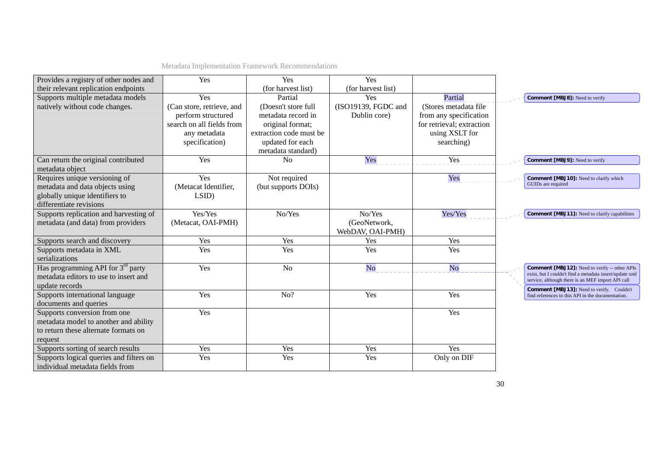| Provides a registry of other nodes and  | Yes                       | Yes                     | Yes                 |                           |                                                                                                              |
|-----------------------------------------|---------------------------|-------------------------|---------------------|---------------------------|--------------------------------------------------------------------------------------------------------------|
| their relevant replication endpoints    |                           | (for harvest list)      | (for harvest list)  |                           |                                                                                                              |
| Supports multiple metadata models       | Yes                       | Partial                 | Yes                 | Partial                   | <b>Comment [MBJ8]:</b> Need to verify                                                                        |
| natively without code changes.          | (Can store, retrieve, and | (Doesn't store full     | (ISO19139, FGDC and | (Stores metadata file)    |                                                                                                              |
|                                         | perform structured        | metadata record in      | Dublin core)        | from any specification    |                                                                                                              |
|                                         | search on all fields from | original format;        |                     | for retrieval; extraction |                                                                                                              |
|                                         | any metadata              | extraction code must be |                     | using XSLT for            |                                                                                                              |
|                                         | specification)            | updated for each        |                     | searching)                |                                                                                                              |
|                                         |                           | metadata standard)      |                     |                           |                                                                                                              |
| Can return the original contributed     | Yes                       | No                      | Yes                 | Yes                       | <b>Comment [MBJ9]: Need to verify</b>                                                                        |
| metadata object                         |                           |                         |                     |                           |                                                                                                              |
| Requires unique versioning of           | Yes                       | Not required            |                     | Yes                       | Comment [MBJ10]: Need to clarify which                                                                       |
| metadata and data objects using         | (Metacat Identifier,      | (but supports DOIs)     |                     |                           | GUIDs are required                                                                                           |
| globally unique identifiers to          | LSID                      |                         |                     |                           |                                                                                                              |
| differentiate revisions                 |                           |                         |                     |                           |                                                                                                              |
| Supports replication and harvesting of  | Yes/Yes                   | No/Yes                  | No/Yes              | Yes/Yes                   | <b>Comment [MBJ11]:</b> Need to clarify capabilities                                                         |
| metadata (and data) from providers      | (Metacat, OAI-PMH)        |                         | (GeoNetwork,        |                           |                                                                                                              |
|                                         |                           |                         | WebDAV, OAI-PMH)    |                           |                                                                                                              |
| Supports search and discovery           | Yes                       | Yes                     | Yes                 | Yes                       |                                                                                                              |
| Supports metadata in XML                | Yes                       | Yes                     | Yes                 | Yes                       |                                                                                                              |
| serializations                          |                           |                         |                     |                           |                                                                                                              |
| Has programming API for $3^{rd}$ party  | Yes                       | N <sub>o</sub>          | No                  | No                        | <b>Comment [MBJ12]:</b> Need to verify -- other APIs                                                         |
| metadata editors to use to insert and   |                           |                         |                     |                           | exist, but I couldn't find a metadata insert/update xml<br>service, although there is an MEF import API call |
| update records                          |                           |                         |                     |                           | Comment [MBJ13]: Need to verify. Couldn't                                                                    |
| Supports international language         | Yes                       | No?                     | Yes                 | Yes                       | find references to this API in the documentation.                                                            |
| documents and queries                   |                           |                         |                     |                           |                                                                                                              |
| Supports conversion from one            | Yes                       |                         |                     | Yes                       |                                                                                                              |
| metadata model to another and ability   |                           |                         |                     |                           |                                                                                                              |
| to return these alternate formats on    |                           |                         |                     |                           |                                                                                                              |
| request                                 |                           |                         |                     |                           |                                                                                                              |
| Supports sorting of search results      | Yes                       | Yes                     | Yes                 | Yes                       |                                                                                                              |
| Supports logical queries and filters on | Yes                       | Yes                     | Yes                 | Only on DIF               |                                                                                                              |
| individual metadata fields from         |                           |                         |                     |                           |                                                                                                              |